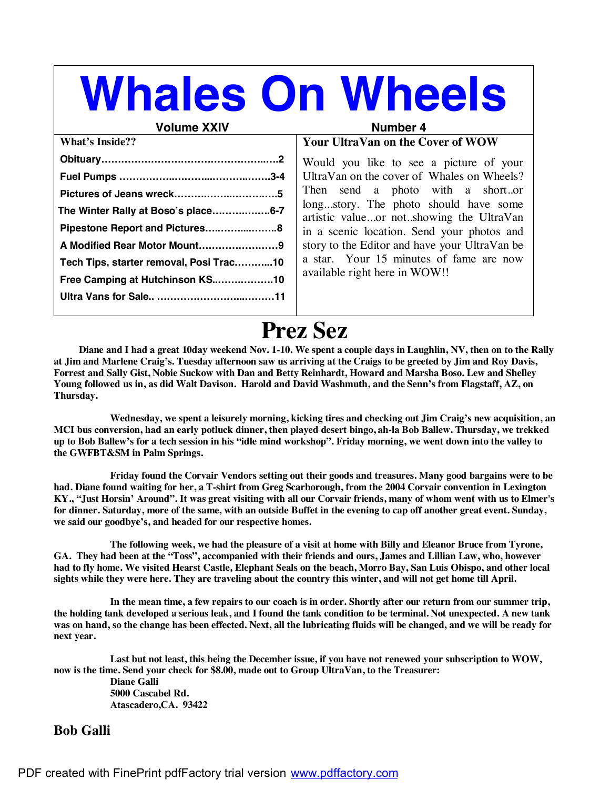# **Whales On Wheels**

#### **Volume XXIV Number 4**

| <b>What's Inside??</b>                  |  |
|-----------------------------------------|--|
|                                         |  |
|                                         |  |
|                                         |  |
| The Winter Rally at Boso's place6-7     |  |
| Pipestone Report and Pictures8          |  |
| A Modified Rear Motor Mount9            |  |
| Tech Tips, starter removal, Posi Trac10 |  |
| Free Camping at Hutchinson KS10         |  |
|                                         |  |
|                                         |  |

#### **Your UltraVan on the Cover of WOW**

Would you like to see a picture of your UltraVan on the cover of Whales on Wheels? Then send a photo with a short..or long...story. The photo should have some artistic value...or not..showing the UltraVan in a scenic location. Send your photos and story to the Editor and have your UltraVan be a star. Your 15 minutes of fame are now available right here in WOW!!

**Prez Sez**<br>Diane and I had a great 10day weekend Nov. 1-10. We spent a couple days in Laughlin, NV, then on to the Rally at Jim and Marlene Craig's. Tuesday afternoon saw us arriving at the Craigs to be greeted by Jim and Roy Davis, **Forrest and Sally Gist, Nobie Suckow with Dan and Betty Reinhardt, Howard and Marsha Boso. Lew and Shelley Young followed us in, as did Walt Davison. Harold and David Washmuth, and the Senn's from Flagstaff, AZ, on Thursday.**

**Wednesday, we spent a leisurely morning, kicking tires and checking out Jim Craig's new acquisition, an MCI bus conversion, had an early potluck dinner, then played desert bingo, ah-la Bob Ballew. Thursday, we trekked** up to Bob Ballew's for a tech session in his "idle mind workshop". Friday morning, we went down into the valley to **the GWFBT&SM in Palm Springs.**

**Friday found the Corvair Vendors setting out their goods and treasures. Many good bargains were to be had. Diane found waiting for her, a T-shirt from Greg Scarborough, from the 2004 Corvair convention in Lexington** KY., "Just Horsin' Around". It was great visiting with all our Corvair friends, many of whom went with us to Elmer's for dinner. Saturday, more of the same, with an outside Buffet in the evening to cap off another great event. Sunday, **we said our goodbye's, and headed for our respective homes.**

The following week, we had the pleasure of a visit at home with Billy and Eleanor Bruce from Tyrone, **GA. They had been at the "Toss", accompanied with their friends and ours, James and Lillian Law, who, however had to fly home. We visited Hearst Castle, Elephant Seals on the beach, Morro Bay, San Luis Obispo, and other local** sights while they were here. They are traveling about the country this winter, and will not get home till April.

In the mean time, a few repairs to our coach is in order. Shortly after our return from our summer trip, the holding tank developed a serious leak, and I found the tank condition to be terminal. Not unexpected. A new tank was on hand, so the change has been effected. Next, all the lubricating fluids will be changed, and we will be ready for **next year.**

**Last but not least, this being the December issue, if you have not renewed your subscription to WOW, now is the time. Send your check for \$8.00, made out to Group UltraVan, to the Treasurer: Diane Galli 5000 Cascabel Rd. Atascadero,CA. 93422**

#### **Bob Galli**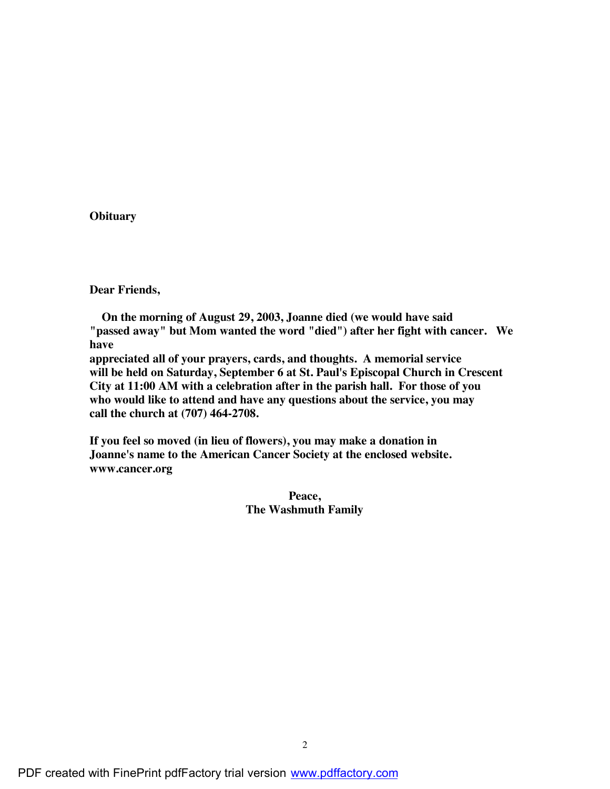#### **Obituary**

**Dear Friends,**

 **On the morning of August 29, 2003, Joanne died (we would have said "passed away" but Mom wanted the word "died") after her fight with cancer. We have appreciated all of your prayers, cards, and thoughts. A memorial service**

**will be held on Saturday, September 6 at St. Paul's Episcopal Church in Crescent City at 11:00 AM with a celebration after in the parish hall. For those of you who would like to attend and have any questions about the service, you may call the church at (707) 464-2708.**

**If you feel so moved (in lieu of flowers), you may make a donation in Joanne's name to the American Cancer Society at the enclosed website. www.cancer.org**

> **Peace, The Washmuth Family**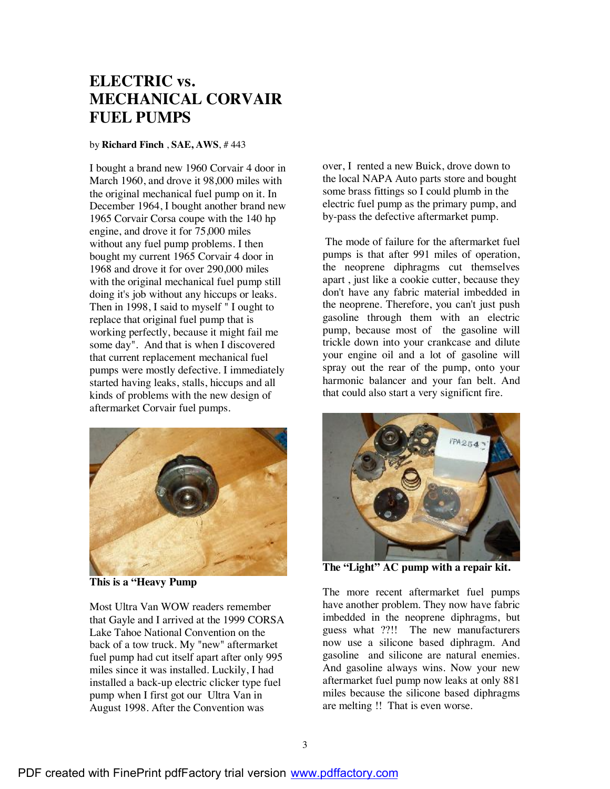## **ELECTRIC vs. MECHANICAL CORVAIR FUEL PUMPS**

#### by **Richard Finch** , **SAE, AWS**, # 443

I bought a brand new 1960 Corvair 4 door in March 1960, and drove it 98,000 miles with the original mechanical fuel pump on it. In December 1964, I bought another brand new 1965 Corvair Corsa coupe with the 140 hp engine, and drove it for 75,000 miles without any fuel pump problems. I then bought my current 1965 Corvair 4 door in 1968 and drove it for over 290,000 miles with the original mechanical fuel pump still doing it's job without any hiccups or leaks. Then in 1998, I said to myself " I ought to replace that original fuel pump that is working perfectly, because it might fail me some day". And that is when I discovered that current replacement mechanical fuel pumps were mostly defective. I immediately started having leaks, stalls, hiccups and all kinds of problems with the new design of aftermarket Corvair fuel pumps.



**This is a "Heavy Pump**

Most Ultra Van WOW readers remember that Gayle and I arrived at the 1999 CORSA Lake Tahoe National Convention on the back of a tow truck. My "new" aftermarket fuel pump had cut itself apart after only 995 miles since it was installed. Luckily, I had installed a back-up electric clicker type fuel pump when I first got our Ultra Van in August 1998. After the Convention was

over, I rented a new Buick, drove down to the local NAPA Auto parts store and bought some brass fittings so I could plumb in the electric fuel pump as the primary pump, and by-pass the defective aftermarket pump.

The mode of failure for the aftermarket fuel pumps is that after 991 miles of operation, the neoprene diphragms cut themselves apart , just like a cookie cutter, because they don't have any fabric material imbedded in the neoprene. Therefore, you can't just push gasoline through them with an electric pump, because most of the gasoline will trickle down into your crankcase and dilute your engine oil and a lot of gasoline will spray out the rear of the pump, onto your harmonic balancer and your fan belt. And that could also start a very significnt fire.



**The "Light" AC pump with a repair kit.**

The more recent aftermarket fuel pumps have another problem. They now have fabric imbedded in the neoprene diphragms, but guess what ??!! The new manufacturers now use a silicone based diphragm. And gasoline and silicone are natural enemies. And gasoline always wins. Now your new aftermarket fuel pump now leaks at only 881 miles because the silicone based diphragms are melting !! That is even worse.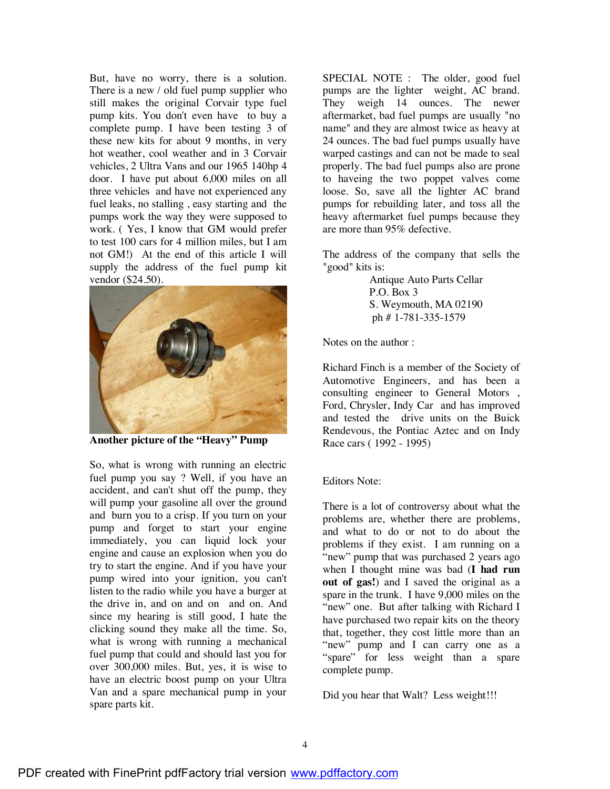But, have no worry, there is a solution. There is a new / old fuel pump supplier who still makes the original Corvair type fuel pump kits. You don't even have to buy a complete pump. I have been testing 3 of these new kits for about 9 months, in very hot weather, cool weather and in 3 Corvair vehicles, 2 Ultra Vans and our 1965 140hp 4 door. I have put about 6,000 miles on all three vehicles and have not experienced any fuel leaks, no stalling , easy starting and the pumps work the way they were supposed to work. ( Yes, I know that GM would prefer to test 100 cars for 4 million miles, but I am not GM!) At the end of this article I will supply the address of the fuel pump kit vendor (\$24.50).



**Another picture of the "Heavy" Pump**

So, what is wrong with running an electric fuel pump you say ? Well, if you have an accident, and can't shut off the pump, they will pump your gasoline all over the ground and burn you to a crisp. If you turn on your pump and forget to start your engine immediately, you can liquid lock your engine and cause an explosion when you do try to start the engine. And if you have your pump wired into your ignition, you can't listen to the radio while you have a burger at the drive in, and on and on and on. And since my hearing is still good, I hate the clicking sound they make all the time. So, what is wrong with running a mechanical fuel pump that could and should last you for over 300,000 miles. But, yes, it is wise to have an electric boost pump on your Ultra Van and a spare mechanical pump in your spare parts kit.

SPECIAL NOTE : The older, good fuel pumps are the lighter weight, AC brand. They weigh 14 ounces. The newer aftermarket, bad fuel pumps are usually "no name" and they are almost twice as heavy at 24 ounces. The bad fuel pumps usually have warped castings and can not be made to seal properly. The bad fuel pumps also are prone to haveing the two poppet valves come loose. So, save all the lighter AC brand pumps for rebuilding later, and toss all the heavy aftermarket fuel pumps because they are more than 95% defective.

The address of the company that sells the "good" kits is:

> Antique Auto Parts Cellar P.O. Box 3 S. Weymouth, MA 02190 ph # 1-781-335-1579

Notes on the author :

Richard Finch is a member of the Society of Automotive Engineers, and has been a consulting engineer to General Motors , Ford, Chrysler, Indy Car and has improved and tested the drive units on the Buick Rendevous, the Pontiac Aztec and on Indy Race cars ( 1992 - 1995)

#### Editors Note:

There is a lot of controversy about what the problems are, whether there are problems, and what to do or not to do about the problems if they exist. I am running on a "new" pump that was purchased 2 years ago when I thought mine was bad (**I had run out of gas!**) and I saved the original as a spare in the trunk. I have 9,000 miles on the "new" one. But after talking with Richard I have purchased two repair kits on the theory that, together, they cost little more than an "new" pump and I can carry one as a "spare" for less weight than a spare complete pump.

Did you hear that Walt? Less weight!!!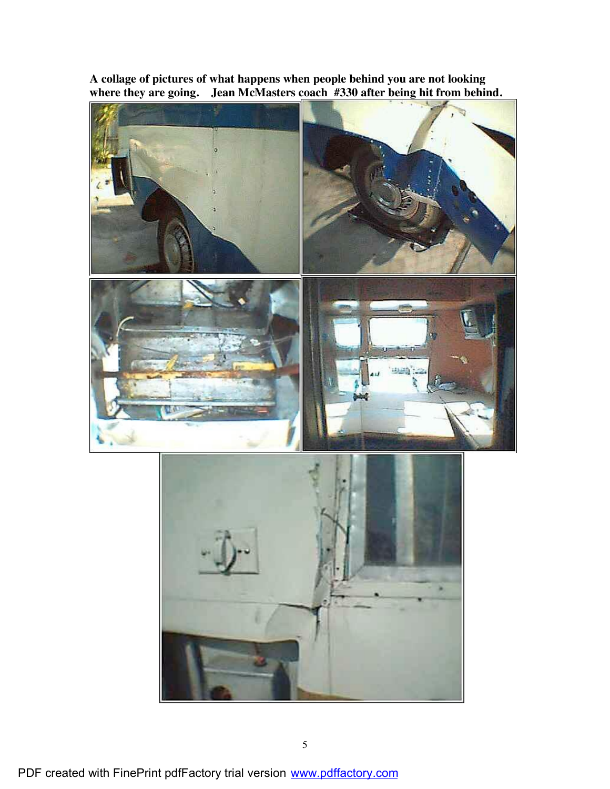

**A collage of pictures of what happens when people behind you are not looking where they are going. Jean McMasters coach #330 after being hit from behind.**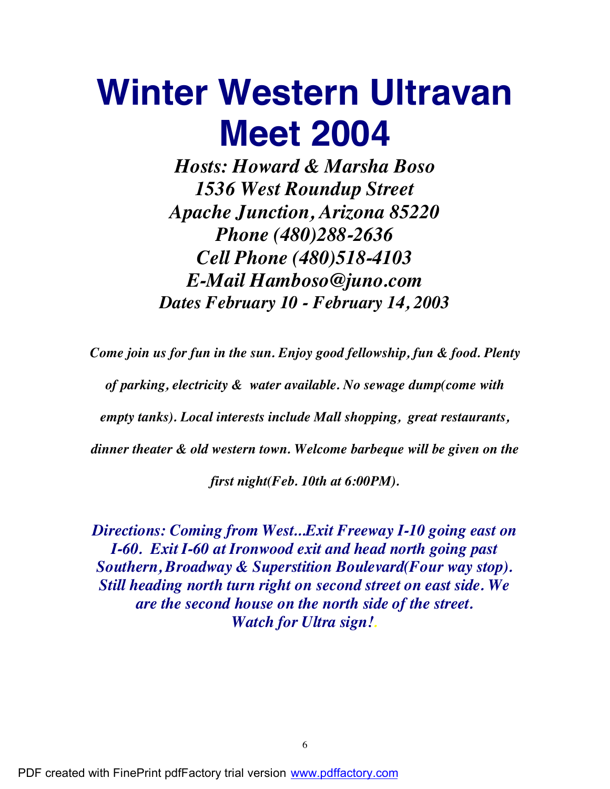## **Winter Western Ultravan Meet 2004**

*Hosts: Howard & Marsha Boso 1536 West Roundup Street Apache Junction, Arizona 85220 Phone (480)288-2636 Cell Phone (480)518-4103 E-Mail Hamboso@juno.com Dates February 10 - February 14, 2003*

*Come join us for fun in the sun. Enjoy good fellowship, fun & food. Plenty*

*of parking, electricity & water available. No sewage dump(come with*

*empty tanks). Local interests include Mall shopping, great restaurants,*

*dinner theater & old western town. Welcome barbeque will be given on the*

*first night(Feb. 10th at 6:00PM).*

*Directions: Coming from West...Exit Freeway I-10 going east on I-60. Exit I-60 at Ironwood exit and head north going past Southern, Broadway & Superstition Boulevard(Four way stop). Still heading north turn right on second street on east side. We are the second house on the north side of the street. Watch for Ultra sign!.*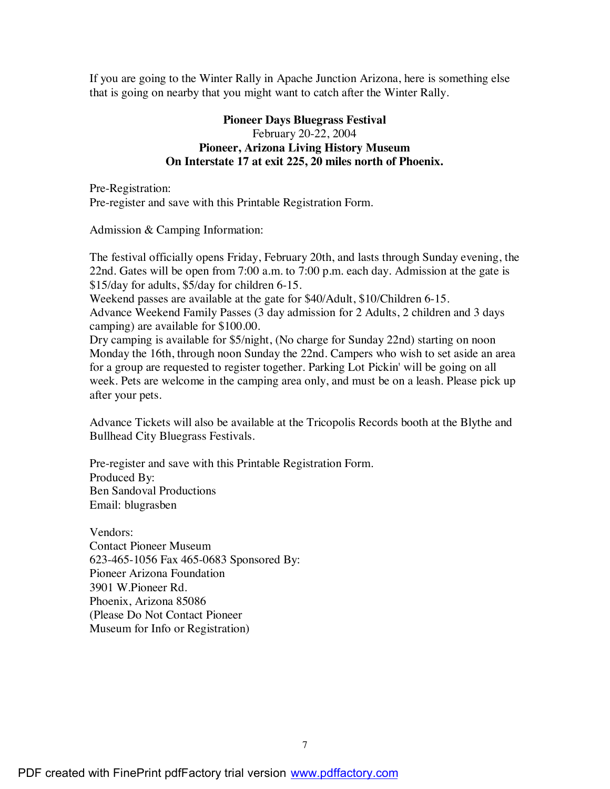If you are going to the Winter Rally in Apache Junction Arizona, here is something else that is going on nearby that you might want to catch after the Winter Rally.

#### **Pioneer Days Bluegrass Festival** February 20-22, 2004 **Pioneer, Arizona Living History Museum On Interstate 17 at exit 225, 20 miles north of Phoenix.**

Pre-Registration: Pre-register and save with this Printable Registration Form.

Admission & Camping Information:

The festival officially opens Friday, February 20th, and lasts through Sunday evening, the 22nd. Gates will be open from 7:00 a.m. to 7:00 p.m. each day. Admission at the gate is \$15/day for adults, \$5/day for children 6-15.

Weekend passes are available at the gate for \$40/Adult, \$10/Children 6-15. Advance Weekend Family Passes (3 day admission for 2 Adults, 2 children and 3 days camping) are available for \$100.00.

Dry camping is available for \$5/night, (No charge for Sunday 22nd) starting on noon Monday the 16th, through noon Sunday the 22nd. Campers who wish to set aside an area for a group are requested to register together. Parking Lot Pickin' will be going on all week. Pets are welcome in the camping area only, and must be on a leash. Please pick up after your pets.

Advance Tickets will also be available at the Tricopolis Records booth at the Blythe and Bullhead City Bluegrass Festivals.

Pre-register and save with this Printable Registration Form. Produced By: Ben Sandoval Productions Email: blugrasben

Vendors: Contact Pioneer Museum 623-465-1056 Fax 465-0683 Sponsored By: Pioneer Arizona Foundation 3901 W.Pioneer Rd. Phoenix, Arizona 85086 (Please Do Not Contact Pioneer Museum for Info or Registration)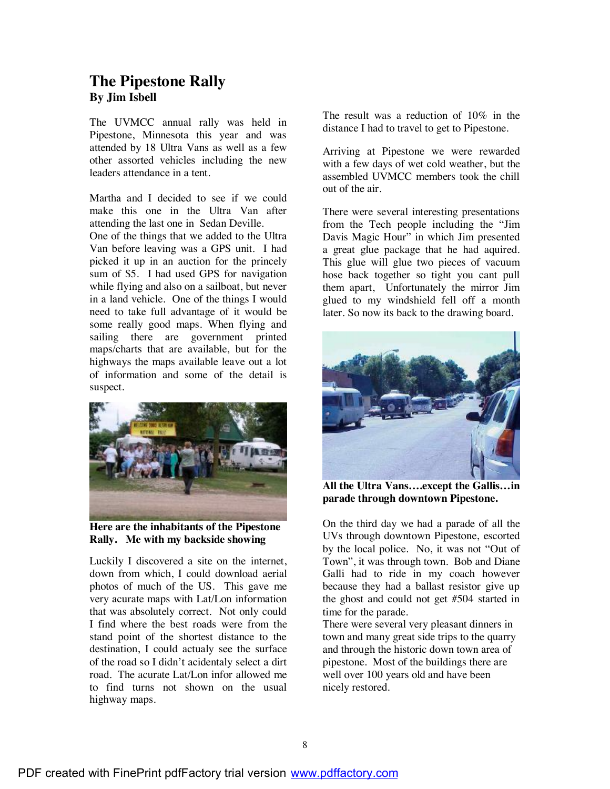### **The Pipestone Rally By Jim Isbell**

The UVMCC annual rally was held in Pipestone, Minnesota this year and was attended by 18 Ultra Vans as well as a few other assorted vehicles including the new leaders attendance in a tent.

Martha and I decided to see if we could make this one in the Ultra Van after attending the last one in Sedan Deville.

One of the things that we added to the Ultra Van before leaving was a GPS unit. I had picked it up in an auction for the princely sum of \$5. I had used GPS for navigation while flying and also on a sailboat, but never in a land vehicle. One of the things I would need to take full advantage of it would be some really good maps. When flying and sailing there are government printed maps/charts that are available, but for the highways the maps available leave out a lot of information and some of the detail is suspect.



**Here are the inhabitants of the Pipestone Rally. Me with my backside showing**

Luckily I discovered a site on the internet, down from which, I could download aerial photos of much of the US. This gave me very acurate maps with Lat/Lon information that was absolutely correct. Not only could I find where the best roads were from the stand point of the shortest distance to the destination, I could actualy see the surface of the road so I didn't acidentaly select a dirt road. The acurate Lat/Lon infor allowed me to find turns not shown on the usual highway maps.

The result was a reduction of 10% in the distance I had to travel to get to Pipestone.

Arriving at Pipestone we were rewarded with a few days of wet cold weather, but the assembled UVMCC members took the chill out of the air.

There were several interesting presentations from the Tech people including the "Jim Davis Magic Hour" in which Jim presented a great glue package that he had aquired. This glue will glue two pieces of vacuum hose back together so tight you cant pull them apart, Unfortunately the mirror Jim glued to my windshield fell off a month later. So now its back to the drawing board.



**All the Ultra Vans….except the Gallis…in parade through downtown Pipestone.**

On the third day we had a parade of all the UVs through downtown Pipestone, escorted by the local police. No, it was not "Out of Town", it was through town. Bob and Diane Galli had to ride in my coach however because they had a ballast resistor give up the ghost and could not get #504 started in time for the parade.

There were several very pleasant dinners in town and many great side trips to the quarry and through the historic down town area of pipestone. Most of the buildings there are well over 100 years old and have been nicely restored.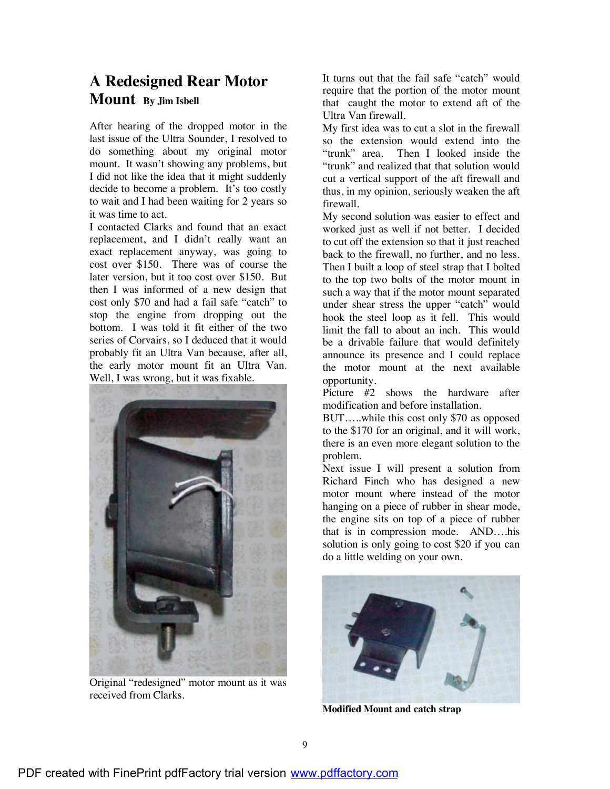## **A Redesigned Rear Motor Mount By Jim Isbell**

After hearing of the dropped motor in the last issue of the Ultra Sounder, I resolved to do something about my original motor mount. It wasn't showing any problems, but I did not like the idea that it might suddenly decide to become a problem. It's too costly to wait and I had been waiting for 2 years so it was time to act.

I contacted Clarks and found that an exact replacement, and I didn't really want an exact replacement anyway, was going to cost over \$150. There was of course the later version, but it too cost over \$150. But then I was informed of a new design that cost only \$70 and had a fail safe "catch" to stop the engine from dropping out the bottom. I was told it fit either of the two series of Corvairs, so I deduced that it would probably fit an Ultra Van because, after all, the early motor mount fit an Ultra Van. Well, I was wrong, but it was fixable.



Original "redesigned" motor mount as it was received from Clarks.

It turns out that the fail safe "catch" would require that the portion of the motor mount that caught the motor to extend aft of the Ultra Van firewall.

My first idea was to cut a slot in the firewall so the extension would extend into the "trunk" area. Then I looked inside the "trunk" and realized that that solution would cut a vertical support of the aft firewall and thus, in my opinion, seriously weaken the aft firewall.

My second solution was easier to effect and worked just as well if not better. I decided to cut off the extension so that it just reached back to the firewall, no further, and no less. Then I built a loop of steel strap that I bolted to the top two bolts of the motor mount in such a way that if the motor mount separated under shear stress the upper "catch" would hook the steel loop as it fell. This would limit the fall to about an inch. This would be a drivable failure that would definitely announce its presence and I could replace the motor mount at the next available opportunity.

Picture #2 shows the hardware after modification and before installation.

BUT…..while this cost only \$70 as opposed to the \$170 for an original, and it will work, there is an even more elegant solution to the problem.

Next issue I will present a solution from Richard Finch who has designed a new motor mount where instead of the motor hanging on a piece of rubber in shear mode, the engine sits on top of a piece of rubber that is in compression mode. AND….his solution is only going to cost \$20 if you can do a little welding on your own.



**Modified Mount and catch strap**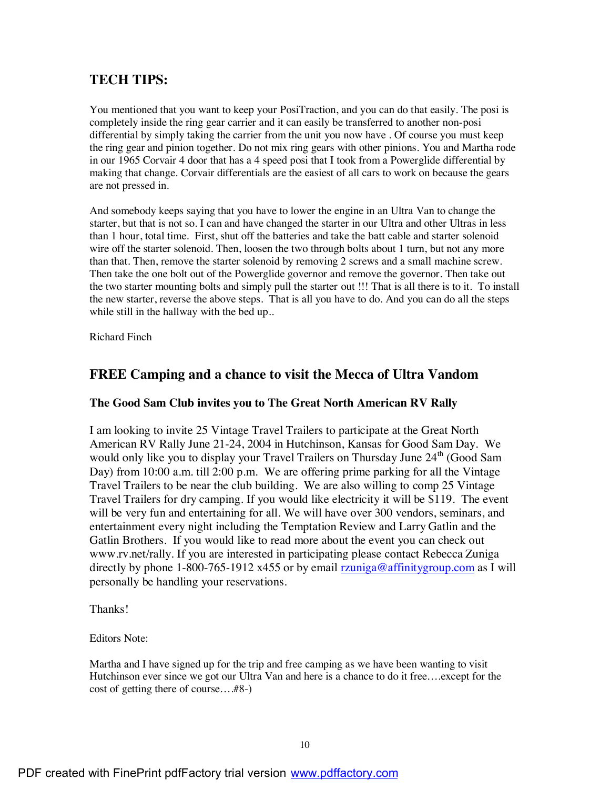### **TECH TIPS:**

You mentioned that you want to keep your PosiTraction, and you can do that easily. The posi is completely inside the ring gear carrier and it can easily be transferred to another non-posi differential by simply taking the carrier from the unit you now have . Of course you must keep the ring gear and pinion together. Do not mix ring gears with other pinions. You and Martha rode in our 1965 Corvair 4 door that has a 4 speed posi that I took from a Powerglide differential by making that change. Corvair differentials are the easiest of all cars to work on because the gears are not pressed in.

And somebody keeps saying that you have to lower the engine in an Ultra Van to change the starter, but that is not so. I can and have changed the starter in our Ultra and other Ultras in less than 1 hour, total time. First, shut off the batteries and take the batt cable and starter solenoid wire off the starter solenoid. Then, loosen the two through bolts about 1 turn, but not any more than that. Then, remove the starter solenoid by removing 2 screws and a small machine screw. Then take the one bolt out of the Powerglide governor and remove the governor. Then take out the two starter mounting bolts and simply pull the starter out !!! That is all there is to it. To install the new starter, reverse the above steps. That is all you have to do. And you can do all the steps while still in the hallway with the bed up..

Richard Finch

#### **FREE Camping and a chance to visit the Mecca of Ultra Vandom**

#### **The Good Sam Club invites you to The Great North American RV Rally**

I am looking to invite 25 Vintage Travel Trailers to participate at the Great North American RV Rally June 21-24, 2004 in Hutchinson, Kansas for Good Sam Day. We would only like you to display your Travel Trailers on Thursday June  $24<sup>th</sup>$  (Good Sam Day) from 10:00 a.m. till 2:00 p.m. We are offering prime parking for all the Vintage Travel Trailers to be near the club building. We are also willing to comp 25 Vintage Travel Trailers for dry camping. If you would like electricity it will be \$119. The event will be very fun and entertaining for all. We will have over 300 vendors, seminars, and entertainment every night including the Temptation Review and Larry Gatlin and the Gatlin Brothers. If you would like to read more about the event you can check out www.rv.net/rally. If you are interested in participating please contact Rebecca Zuniga directly by phone 1-800-765-1912 x455 or by email  $\frac{r}{2}$  range affinity group.com as I will personally be handling your reservations.

Thanks!

Editors Note:

Martha and I have signed up for the trip and free camping as we have been wanting to visit Hutchinson ever since we got our Ultra Van and here is a chance to do it free....except for the cost of getting there of course….#8-)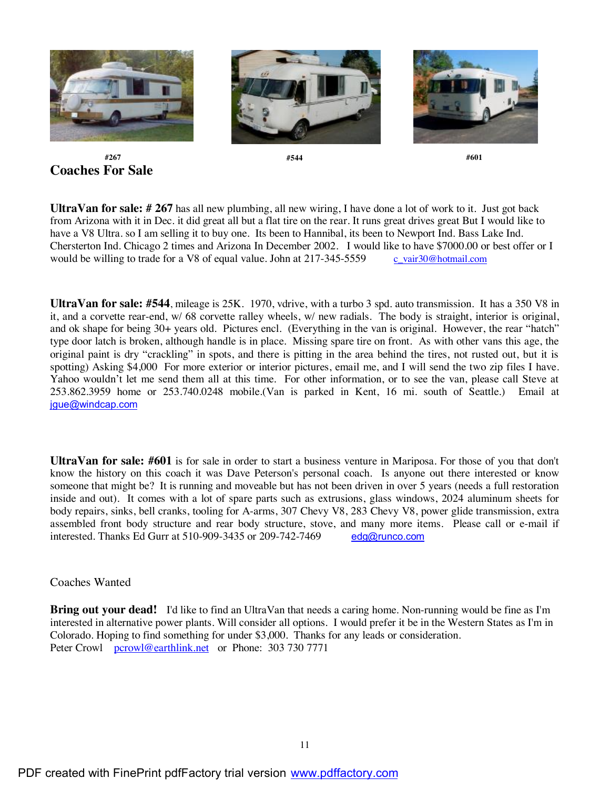

 **#267 #544 #601 Coaches For Sale**

**UltraVan for sale: # 267** has all new plumbing, all new wiring, I have done a lot of work to it. Just got back from Arizona with it in Dec. it did great all but a flat tire on the rear. It runs great drives great But I would like to have a V8 Ultra. so I am selling it to buy one. Its been to Hannibal, its been to Newport Ind. Bass Lake Ind. Chersterton Ind. Chicago 2 times and Arizona In December 2002. I would like to have \$7000.00 or best offer or I would be willing to trade for a V8 of equal value. John at  $217-345-5559$  c vair $30@$ hotmail.com

**UltraVan for sale: #544**, mileage is 25K. 1970, vdrive, with a turbo 3 spd. auto transmission. It has a 350 V8 in it, and a corvette rear-end, w/ 68 corvette ralley wheels, w/ new radials. The body is straight, interior is original, and ok shape for being 30+ years old. Pictures encl. (Everything in the van is original. However, the rear "hatch" type door latch is broken, although handle is in place. Missing spare tire on front. As with other vans this age, the original paint is dry "crackling" in spots, and there is pitting in the area behind the tires, not rusted out, but it is spotting) Asking \$4,000 For more exterior or interior pictures, email me, and I will send the two zip files I have. Yahoo wouldn't let me send them all at this time. For other information, or to see the van, please call Steve at 253.862.3959 home or 253.740.0248 mobile.(Van is parked in Kent, 16 mi. south of Seattle.) Email at jgue@windcap.com

**UltraVan for sale: #601** is for sale in order to start a business venture in Mariposa. For those of you that don't know the history on this coach it was Dave Peterson's personal coach. Is anyone out there interested or know someone that might be? It is running and moveable but has not been driven in over 5 years (needs a full restoration inside and out). It comes with a lot of spare parts such as extrusions, glass windows, 2024 aluminum sheets for body repairs, sinks, bell cranks, tooling for A-arms, 307 Chevy V8, 283 Chevy V8, power glide transmission, extra assembled front body structure and rear body structure, stove, and many more items. Please call or e-mail if interested. Thanks Ed Gurr at 510-909-3435 or 209-742-7469 edg@runco.com

#### Coaches Wanted

**Bring out your dead!** I'd like to find an UltraVan that needs a caring home. Non-running would be fine as I'm interested in alternative power plants. Will consider all options. I would prefer it be in the Western States as I'm in Colorado. Hoping to find something for under \$3,000. Thanks for any leads or consideration. Peter Crowl pcrowl@earthlink.net or Phone: 303 730 7771